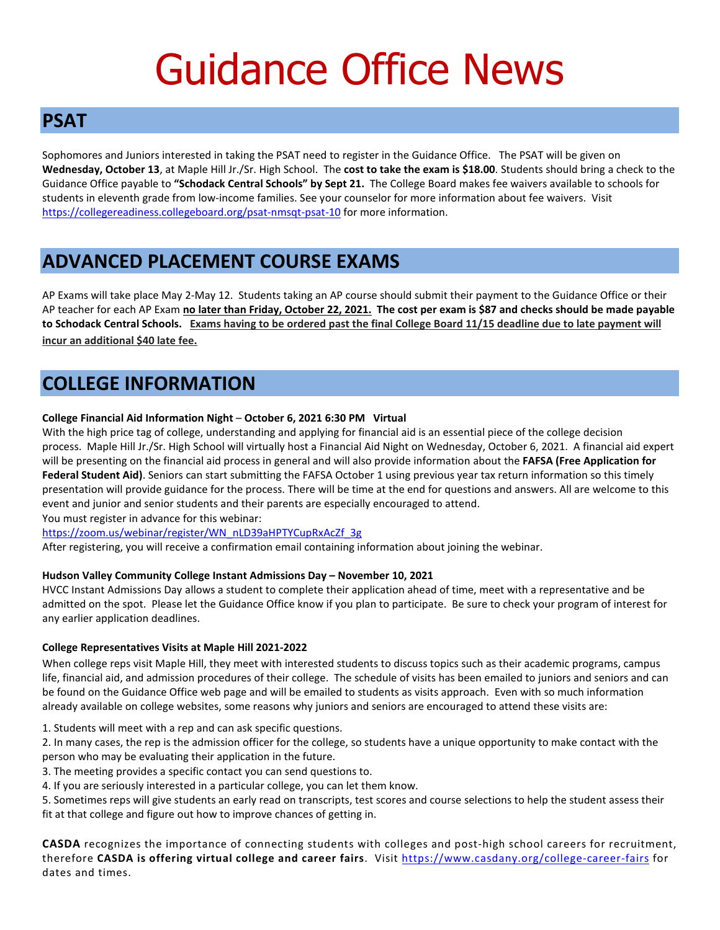# Guidance Office News

# **PSAT**

Sophomores and Juniors interested in taking the PSAT need to register in the Guidance Office. The PSAT will be given on **Wednesday, October 13**, at Maple Hill Jr./Sr. High School. The **cost to take the exam is \$18.00**. Students should bring a check to the Guidance Office payable to **"Schodack Central Schools" by Sept 21.** The College Board makes fee waivers available to schools for students in eleventh grade from low-income families. See your counselor for more information about fee waivers. Visit <https://collegereadiness.collegeboard.org/psat-nmsqt-psat-10> for more information.

# **ADVANCED PLACEMENT COURSE EXAMS**

AP Exams will take place May 2-May 12. Students taking an AP course should submit their payment to the Guidance Office or their AP teacher for each AP Exam **no later than Friday, October 22, 2021. The cost per exam is \$87 and checks should be made payable to Schodack Central Schools. Exams having to be ordered past the final College Board 11/15 deadline due to late payment will incur an additional \$40 late fee.**

# **COLLEGE INFORMATION**

## **College Financial Aid Information Night** – **October 6, 2021 6:30 PM Virtual**

With the high price tag of college, understanding and applying for financial aid is an essential piece of the college decision process. Maple Hill Jr./Sr. High School will virtually host a Financial Aid Night on Wednesday, October 6, 2021. A financial aid expert will be presenting on the financial aid process in general and will also provide information about the **FAFSA (Free Application for Federal Student Aid)**. Seniors can start submitting the FAFSA October 1 using previous year tax return information so this timely presentation will provide guidance for the process. There will be time at the end for questions and answers. All are welcome to this event and junior and senior students and their parents are especially encouraged to attend.

You must register in advance for this webinar:

[https://zoom.us/webinar/register/WN\\_nLD39aHPTYCupRxAcZf\\_3g](https://zoom.us/webinar/register/WN_nLD39aHPTYCupRxAcZf_3g)

After registering, you will receive a confirmation email containing information about joining the webinar.

### **Hudson Valley Community College Instant Admissions Day – November 10, 2021**

HVCC Instant Admissions Day allows a student to complete their application ahead of time, meet with a representative and be admitted on the spot. Please let the Guidance Office know if you plan to participate. Be sure to check your program of interest for any earlier application deadlines.

### **College Representatives Visits at Maple Hill 2021-2022**

When college reps visit Maple Hill, they meet with interested students to discuss topics such as their academic programs, campus life, financial aid, and admission procedures of their college. The schedule of visits has been emailed to juniors and seniors and can be found on the Guidance Office web page and will be emailed to students as visits approach. Even with so much information already available on college websites, some reasons why juniors and seniors are encouraged to attend these visits are:

1. Students will meet with a rep and can ask specific questions.

2. In many cases, the rep is the admission officer for the college, so students have a unique opportunity to make contact with the person who may be evaluating their application in the future.

3. The meeting provides a specific contact you can send questions to.

4. If you are seriously interested in a particular college, you can let them know.

5. Sometimes reps will give students an early read on transcripts, test scores and course selections to help the student assess their fit at that college and figure out how to improve chances of getting in.

**CASDA** recognizes the importance of connecting students with colleges and post-high school careers for recruitment, therefore **CASDA is offering virtual college and career fairs**. Visit<https://www.casdany.org/college-career-fairs> for dates and times.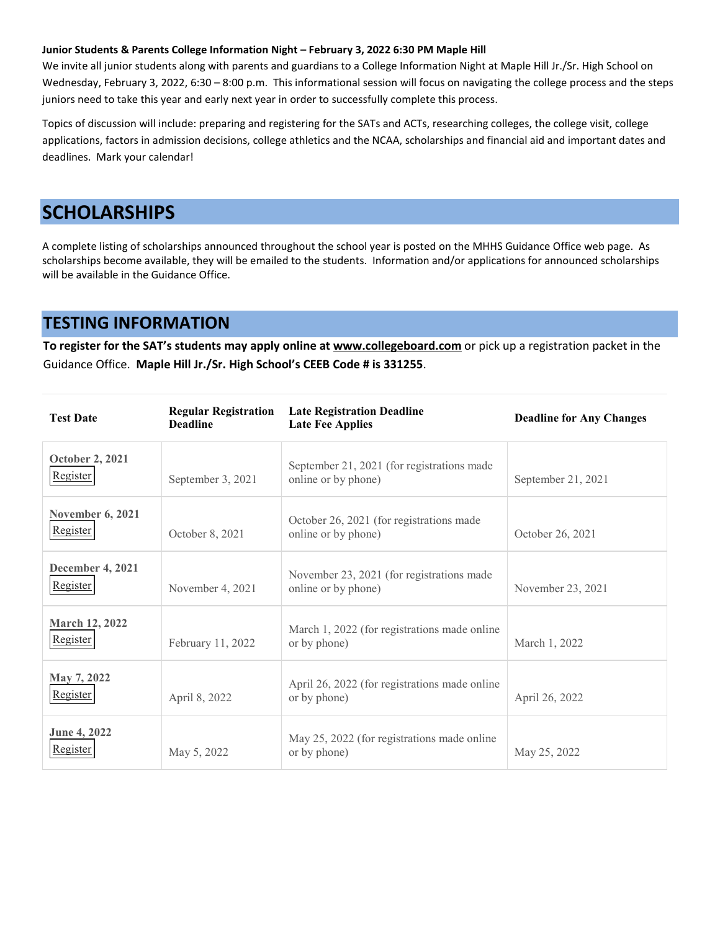#### **Junior Students & Parents College Information Night – February 3, 2022 6:30 PM Maple Hill**

We invite all junior students along with parents and guardians to a College Information Night at Maple Hill Jr./Sr. High School on Wednesday, February 3, 2022, 6:30 – 8:00 p.m. This informational session will focus on navigating the college process and the steps juniors need to take this year and early next year in order to successfully complete this process.

Topics of discussion will include: preparing and registering for the SATs and ACTs, researching colleges, the college visit, college applications, factors in admission decisions, college athletics and the NCAA, scholarships and financial aid and important dates and deadlines. Mark your calendar!

# **SCHOLARSHIPS**

A complete listing of scholarships announced throughout the school year is posted on the MHHS Guidance Office web page. As scholarships become available, they will be emailed to the students. Information and/or applications for announced scholarships will be available in the Guidance Office.

## **TESTING INFORMATION**

**To register for the SAT's students may apply online at [www.collegeboard.com](http://www.collegeboard.com/)** or pick up a registration packet in the Guidance Office. **Maple Hill Jr./Sr. High School's CEEB Code # is 331255**.

| <b>Test Date</b>                    | <b>Regular Registration</b><br><b>Deadline</b> | <b>Late Registration Deadline</b><br><b>Late Fee Applies</b>      | <b>Deadline for Any Changes</b> |
|-------------------------------------|------------------------------------------------|-------------------------------------------------------------------|---------------------------------|
| <b>October 2, 2021</b><br>Register  | September 3, 2021                              | September 21, 2021 (for registrations made<br>online or by phone) | September 21, 2021              |
| <b>November 6, 2021</b><br>Register | October 8, 2021                                | October 26, 2021 (for registrations made<br>online or by phone)   | October 26, 2021                |
| <b>December 4, 2021</b><br>Register | November 4, 2021                               | November 23, 2021 (for registrations made<br>online or by phone)  | November 23, 2021               |
| <b>March 12, 2022</b><br>Register   | February 11, 2022                              | March 1, 2022 (for registrations made online<br>or by phone)      | March 1, 2022                   |
| May 7, 2022<br>Register             | April 8, 2022                                  | April 26, 2022 (for registrations made online<br>or by phone)     | April 26, 2022                  |
| June 4, 2022<br>Register            | May 5, 2022                                    | May 25, 2022 (for registrations made online<br>or by phone)       | May 25, 2022                    |